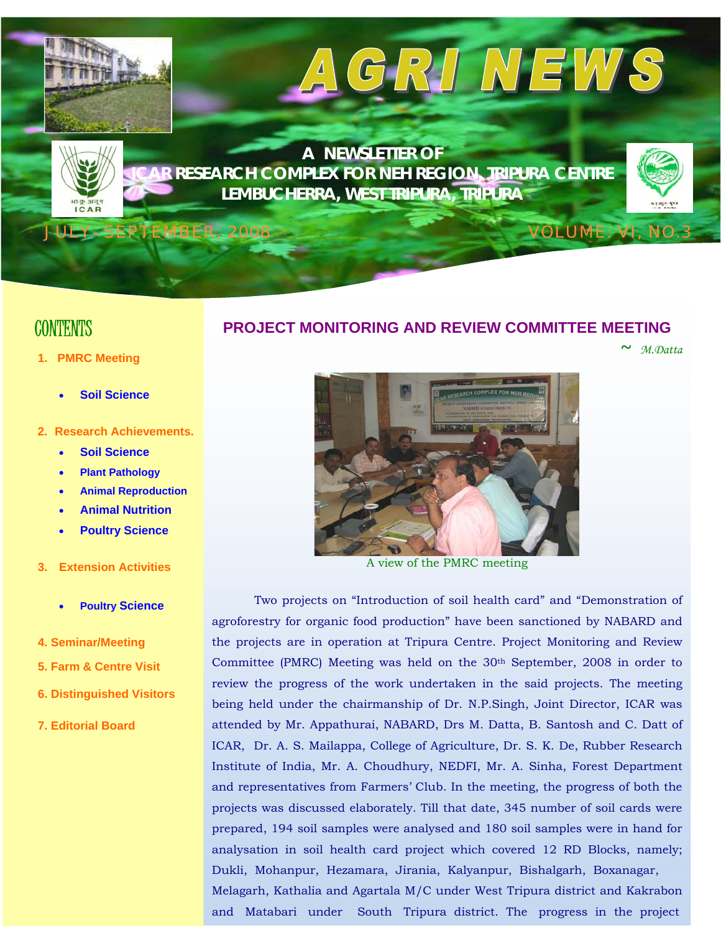

# **CONTENTS**

- **1. PMRC Meeting** 
	- **Soil Science**  •
- 2. Research Achievements.
	- **Soil Science**
	- **Plant Pathology**
	- **n Animal Reproductio**
	- **Animal Nutrition**
	- **Poultry Science**
- **3. Extension Activities** 
	- **Poultry Science**
- **4. Seminar/Meeting**
- **5. Farm & Centre Visit**
- **6. Dist inguished Visitors**
- **7. Editorial Board**

## **PROJECT MONITORING AND REVIEW COMMITTEE MEETING**

 **~** *M.Datta*



A view of the PMRC meeting

Two projects on "Introduction of soil health card" and "Demonstration of agroforestry for organic food production" have been sanctioned by NABARD and the projects are in operation at Tripura Centre. Project Monitoring and Review Committee (PMRC) Meeting was held on the 30th September, 2008 in order to review the progress of the work undertaken in the said projects. The meeting being held under the chairmanship of Dr. N.P.Singh, Joint Director, ICAR was attended by Mr. Appathurai, NABARD, Drs M. Datta, B. Santosh and C. Datt of ICAR, Dr. A. S. Mailappa, College of Agriculture, Dr. S. K. De, Rubber Research Institute of India, Mr. A. Choudhury, NEDFI, Mr. A. Sinha, Forest Department and representatives from Farmers' Club. In the meeting, the progress of both the projects was discussed elaborately. Till that date, 345 number of soil cards were prepared, 194 soil samples were analysed and 180 soil samples were in hand for analysation in soil health card project which covered 12 RD Blocks, namely; Dukli, Mohanpur, Hezamara, Jirania, Kalyanpur, Bishalgarh, Boxanagar, Melagarh, Kathalia and Agartala M/C under West Tripura district and Kakrabon and Matabari under South Tripura district. The progress in the project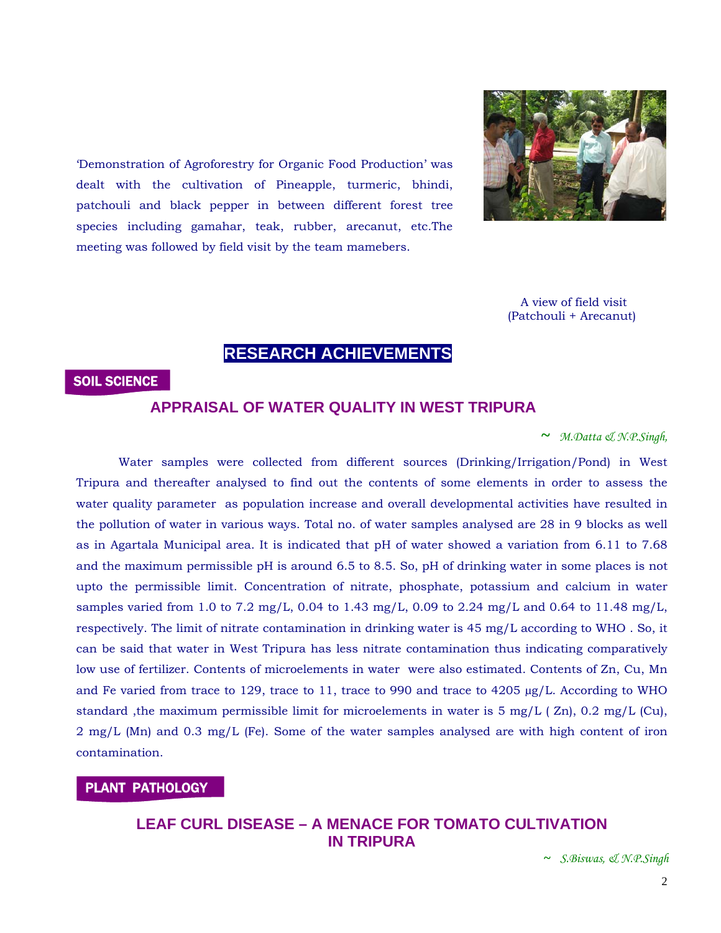

dealt with the cultivation of Pineapple, turmeric, bhindi, patchouli and black pepper in between different forest tree species including gamahar, teak, rubber, arecanut, etc.The meeting was followed by field visit by the team mamebers. 'Demonstration of Agroforestry for Organic Food Production' was

> A view of field visit (Patchouli + Arecanut)

# **RESEARCH ACHIEVEMENTS**

#### SOIL SCIENCE

#### **APPRAISAL OF WATER QUALITY IN WEST TRIPURA**

**~** *M.Datta & N.P.Singh,*

and Fe varied from trace to 129, trace to 11, trace to 990 and trace to  $4205 \mu g/L$ . According to WHO standard, the maximum permissible limit for microelements in water is  $5 \text{ mg/L}$  ( $\text{Zn}$ ), 0.2 mg/L (Cu),  $2 \text{ mg/L}$  (Mn) and 0.3 mg/L (Fe). Some of the water samples analysed are with high content of iron contamination. Water samples were collected from different sources (Drinking/Irrigation/Pond) in West Tripura and thereafter analysed to find out the contents of some elements in order to assess the water quality parameter as population increase and overall developmental activities have resulted in the pollution of water in various ways. Total no. of water samples analysed are 28 in 9 blocks as well as in Agartala Municipal area. It is indicated that pH of water showed a variation from 6.11 to 7.68 and the maximum permissible pH is around 6.5 to 8.5. So, pH of drinking water in some places is not upto the permissible limit. Concentration of nitrate, phosphate, potassium and calcium in water samples varied from 1.0 to 7.2 mg/L, 0.04 to 1.43 mg/L, 0.09 to 2.24 mg/L and 0.64 to 11.48 mg/L, respectively. The limit of nitrate contamination in drinking water is 45 mg/L according to WHO . So, it can be said that water in West Tripura has less nitrate contamination thus indicating comparatively low use of fertilizer. Contents of microelements in water were also estimated. Contents of Zn, Cu, Mn

#### PLANT PATHOLOGY

# **LEAF CURL DISEASE – A MENACE FOR TOMATO CULTIVATION IN TRIPURA**

**~** *S.Biswas, & N.P.Singh*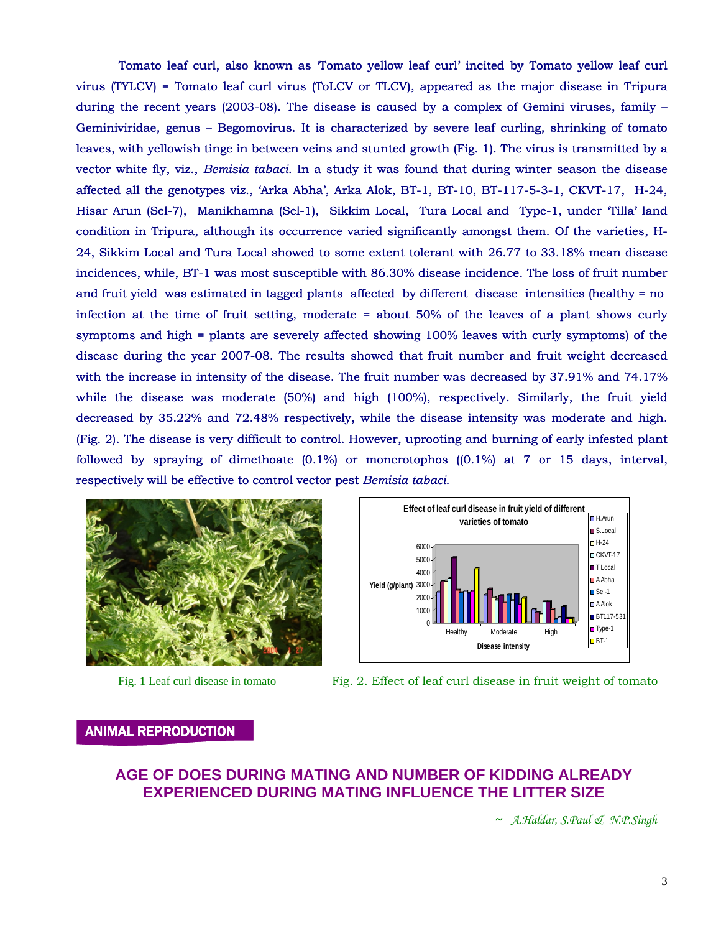Tomato leaf curl, also known as 'Tomato yellow leaf curl' incited by Tomato yellow leaf curl virus (TYLCV) = Tomato leaf curl virus (ToLCV or TLCV), appeared as the major disease in Tripura during the recent years (2003-08). The disease is caused by a complex of Gemini viruses, family – Geminiviridae, genus – Begomovirus. It is characterized by severe leaf curling, shrinking of tomato leaves, with yellowish tinge in between veins and stunted growth (Fig. 1). The virus is transmitted by a vector white fly, viz., *Bemisia tabaci*. In a study it was found that during winter season the disease affected all the genotypes viz., 'Arka Abha', Arka Alok, BT-1, BT-10, BT-117-5-3-1, CKVT-17, H-24, Hisar Arun (Sel-7), Manikhamna (Sel-1), Sikkim Local, Tura Local and Type-1, under 'Tilla' land condition in Tripura, although its occurrence varied significantly amongst them. Of the varieties, H virus (TYLCV) = Tomato leaf curl virus (ToLCV or TLCV), appeared as the major disease in Tripura<br>during the recent years (2003-08). The disease is caused by a complex of Gemini viruses, family –<br>Geminiviridae, genus – Bego decreased by 35.22% and 72.48% respectively, while the disease intensity was moderate and high. (Fig. 2). The disease is very difficult to control. However, uprooting and burning of early infested plant followed by spraying of dimethoate  $(0.1\%)$  or moncrotophos  $((0.1\%)$  at 7 or 15 days, interval, respectively will be effective to control vector pest  *Bemisia tabaci.*  24, Sikkim Local and Tura Local showed to some extent tolerant with 26.77 to 33.18% mean disease<br>
incidences, while, BT-1) was most susceptible with 86.30% disease incidence. The loss of fruit number<br>
infection at the tim incidences, while, BT-1 was most susceptible with 86.30% disease incidence. The loss of fruit number and fruit yield was estimated in tagged plants affected by different disease intensities (healthy = no infection at the time of fruit setting, moderate = about 50% of the leaves of a plant shows curly symptoms and high = plants are severely affected showing 100% leaves with curly symptoms) of the disease during the year 2007-08. The results showed that fruit number and fruit weight decreased with the increase in intensity of the disease. The fruit number was decreased by 37.91% and 74.17% while the disease was moderate (50%) and high (100%), respectively. Similarly, the fruit yield





Fig. 1 Leaf curl disease in tomato Fig. 2. Effect of leaf curl disease in fruit weight of tomato

ANIMAL R EPRODUCTION

# **AGE OF DOES DURING MATING AND NUMBER OF KIDDING ALREADY EXPERIENCED DURING MATING INFLUENCE THE LITTER SIZE**

**~** *A.Haldar, S.Paul & N.P.Singh*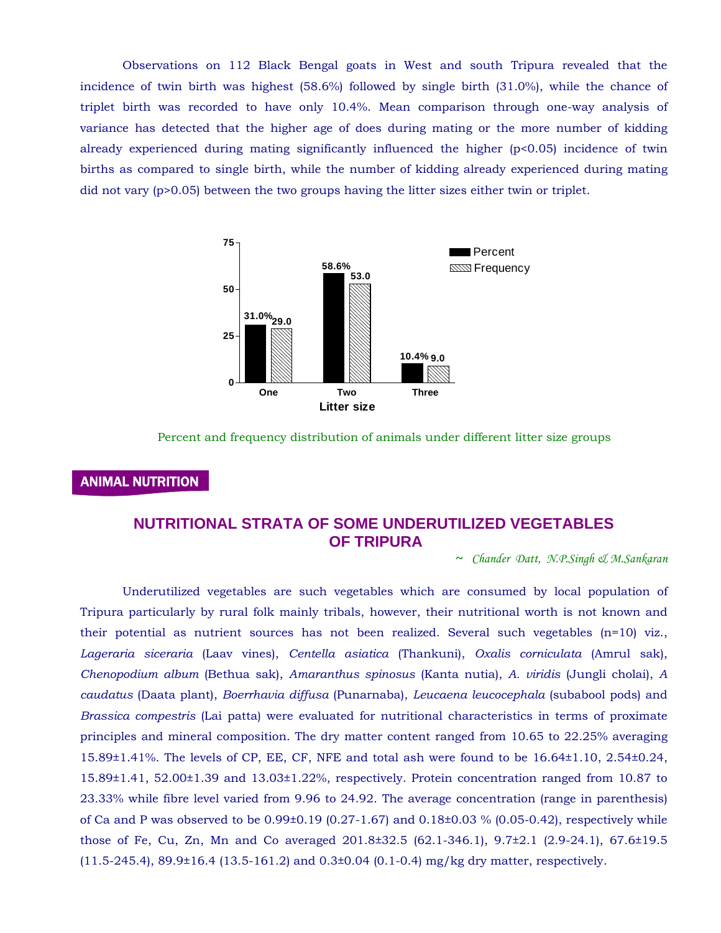triplet birth was recorded to have only 10.4%. Mean comparison through one-way analysis of variance has detected that the higher age of does during mating or the more number of kidding already experienced during mating significantly influenced the higher  $(p<0.05)$  incidence of twin births as compared to single birth, while the number of kidding already experienced during mating did not vary  $(p>0.05)$  between the two groups having the litter sizes either twin or triplet. Observations on 112 Black Bengal goats in West and south Tripura revealed that the incidence of twin birth was highest (58.6%) followed by single birth (31.0%), while the chance of



Percent and frequency distribution of animals under different litter size groups

### ANIMAL NUTRITION

# **NUTRITIONAL STRATA OF SOME UNDERUTILIZED VEGETABLES OF TRIPURA**

**~** *Chander Datt, N.P.Singh & M.Sankaran* 

15.89±1.41, 52.00±1.39 and 13.03±1.22%, respectively. Protein concentration ranged from 10.87 to 23.33% while fibre level varied from 9.96 to 24.92. The average concentration (range in parenthesis) of Ca and P was observed to be 0.99±0.19 (0.27-1.67) and 0.18±0.03 % (0.05-0.42), respectively while those of Fe, Cu, Zn, Mn and Co averaged 201.8±32.5 (62.1-346.1), 9.7±2.1 (2.9-24.1), 67.6±19.5 (11.5-245.4), 89.9±16.4 (13.5-161.2) and 0.3±0.04 (0.1-0.4) mg/kg dry matter, respectively. Underutilized vegetables are such vegetables which are consumed by local population of Tripura particularly by rural folk mainly tribals, however, their nutritional worth is not known and their potential as nutrient sources has not been realized. Several such vegetables (n=10) viz., *Lageraria siceraria* (Laav vines), *Centella asiatica* (Thankuni), *Oxalis corniculata* (Amrul sak), *Chenopodium album* (Bethua sak), *Amaranthus spinosus* (Kanta nutia), *A. viridis* (Jungli cholai), *A caudatus* (Daata plant), *Boerrhavia diffusa* (Punarnaba), *Leucaena leucocephala* (subabool pods) and *Brassica compestris* (Lai patta) were evaluated for nutritional characteristics in terms of proximate principles and mineral composition. The dry matter content ranged from 10.65 to 22.25% averaging 15.89±1.41%. The levels of CP, EE, CF, NFE and total ash were found to be 16.64±1.10, 2.54±0.24,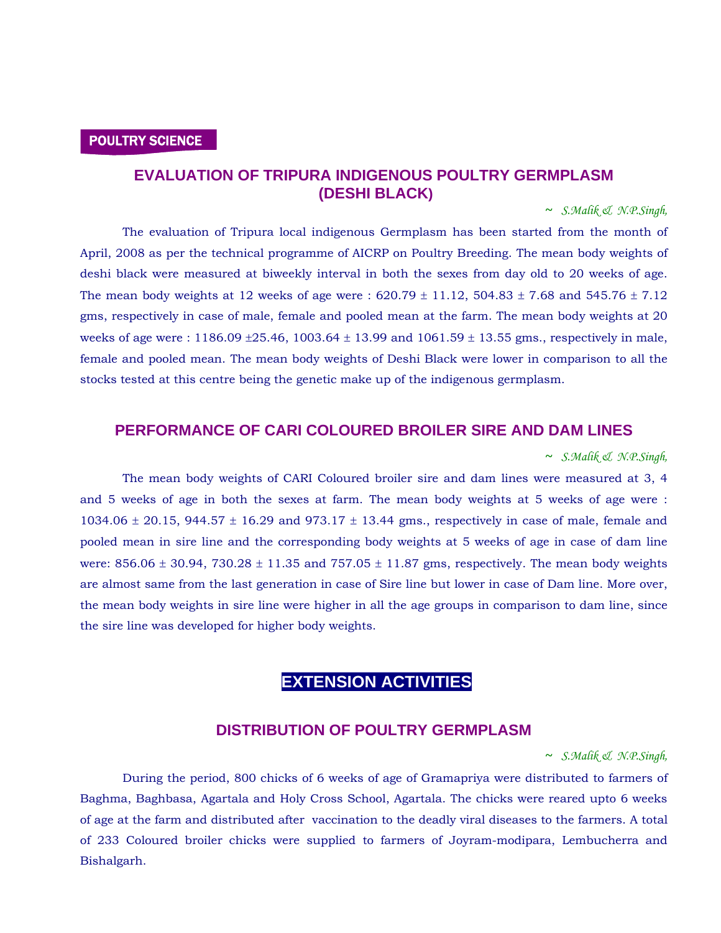#### POULTRY SCIENCE

# **EVALUATION OF TRIPURA INDIGENOUS POULTRY GERMPLASM (DESHI BLACK)**

 **~** *S.Malik & N.P.Singh,* 

gms, respectively in case of male, female and pooled mean at the farm. The mean body weights at 20 weeks of age were :  $1186.09 \pm 25.46$ ,  $1003.64 \pm 13.99$  and  $1061.59 \pm 13.55$  gms., respectively in male, female and pooled mean. The mean body weights of Deshi Black were lower in comparison to all the stocks tested at this centre being the genetic make up of the indigenous ge rmplasm. The evaluation of Tripura local indigenous Germplasm has been started from the month of April, 2008 as per the technical programme of AICRP on Poultry Breeding. The mean body weights of deshi black were measured at biweekly interval in both the sexes from day old to 20 weeks of age. The mean body weights at 12 weeks of age were :  $620.79 \pm 11.12$ ,  $504.83 \pm 7.68$  and  $545.76 \pm 7.12$ 

### **PERFORMANCE OF CARI COLOURED BROILER SIRE AND DAM LINES**

#### **~** *S.Malik & N.P.Singh,*

were:  $856.06 \pm 30.94$ ,  $730.28 \pm 11.35$  and  $757.05 \pm 11.87$  gms, respectively. The mean body weights are almost same from the last generation in case of Sire line but lower in case of Dam line. More over, the mean body weights in sire line were higher in all the age groups in comparison to dam line, since the sire line was developed for high er body weights. The mean body weights of CARI Coloured broiler sire and dam lines were measured at 3, 4 and 5 weeks of age in both the sexes at farm. The mean body weights at 5 weeks of age were : 1034.06  $\pm$  20.15, 944.57  $\pm$  16.29 and 973.17  $\pm$  13.44 gms., respectively in case of male, female and pooled mean in sire line and the corresponding body weights at 5 weeks of age in case of dam line

# **EXTENSION ACTIVITIES**

#### **DISTRIBUTION OF POULTRY GERMPLASM**

**~** *S.Malik & N.P.Singh,* 

Baghma, Baghbasa, Agartala and Holy Cross School, Agartala. The chicks were reared upto 6 weeks of age at the farm and distributed after vaccination to the deadly viral diseases to the farmers. A total of 233 Coloured broiler chicks were supplied to farmers of Joyram-modipara, Lembucherra and Bishalgarh. During the period, 800 chicks of 6 weeks of age of Gramapriya were distributed to farmers of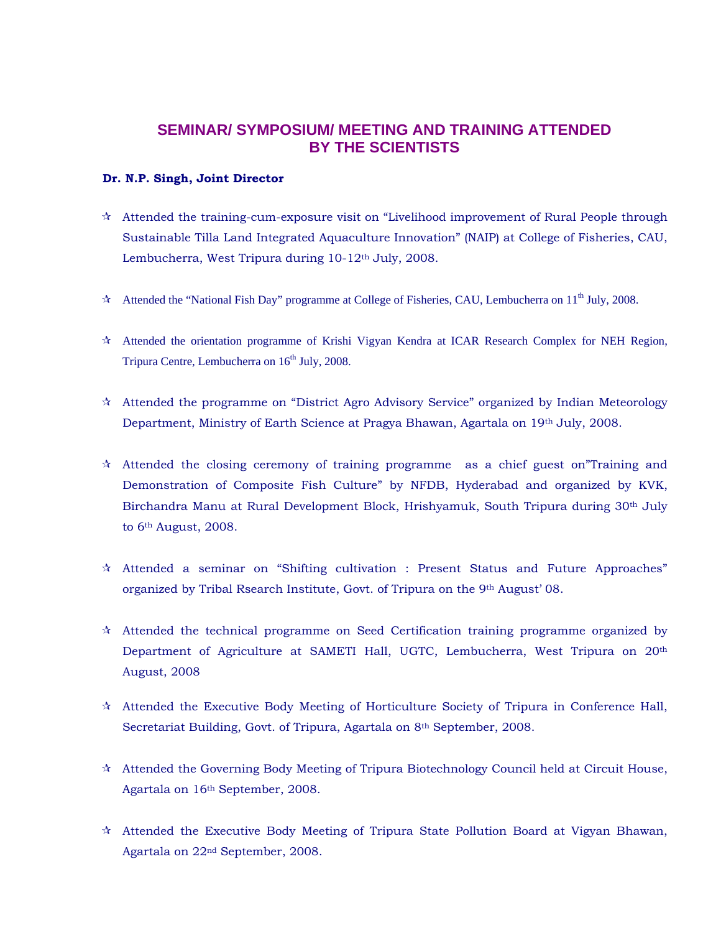# **SEMINAR/ SYMPOSIUM/ MEETING AND TRAINING ATTENDED BY THE SCIENTISTS**

#### **Dr. N.P. Singh, Joint Director**

- $\star$  Attended the training-cum-exposure visit on "Livelihood improvement of Rural People through Sustainable Tilla Land Integrated Aquaculture Innovation" (NAIP) at College of Fisheries, CAU, Lembucherra, West Tripura during 10-12<sup>th</sup> July, 2008.
- $\star$  Attended the "National Fish Day" programme at College of Fisheries, CAU, Lembucherra on 11<sup>th</sup> July, 2008.
- Attended the orientation programme of Krishi Vigyan Kendra at ICAR Research Complex for NEH Region, Tripura Centre, Lembucherra on  $16<sup>th</sup>$  July, 2008.
- Attended the programme on "District Agro Advisory Service" organized by Indian Meteorology Department, Ministry of Earth Science at Pragya Bhawan, Agartala on 19th July, 2008.
- $\star$  Attended the closing ceremony of training programme as a chief guest on Training and Demonstration of Composite Fish Culture" by NFDB, Hyderabad and organized by KVK, Birchandra Manu at Rural Development Block, Hrishyamuk, South Tripura during 30<sup>th</sup> July to 6<sup>th</sup> August, 2008.
- $\hat{\mathcal{A}}$  Attended a seminar on "Shifting cultivation : Present Status and Future Approaches" organized by Tribal Rsearch Institute, Govt. of Tripura on the 9th August' 08.
- $\star$  Attended the technical programme on Seed Certification training programme organized by Department of Agriculture at SAMETI Hall, UGTC, Lembucherra, West Tripura on 20<sup>th</sup> August, 2008
- Secretariat Building, Govt. of Tripura, Agartala on 8<sup>th</sup> September, 2008.  $\hat{\mathcal{A}}$  Attended the Executive Body Meeting of Horticulture Society of Tripura in Conference Hall,
- $\mathcal{A}$  Attended the Governing Body Meeting of Tripura Biotechnology Council held at Circuit House, Agartala on 16th September, 2008.
- $\hat{\mathcal{A}}$  Attended the Executive Body Meeting of Tripura State Pollution Board at Vigyan Bhawan, Agartala on 22nd September, 2008.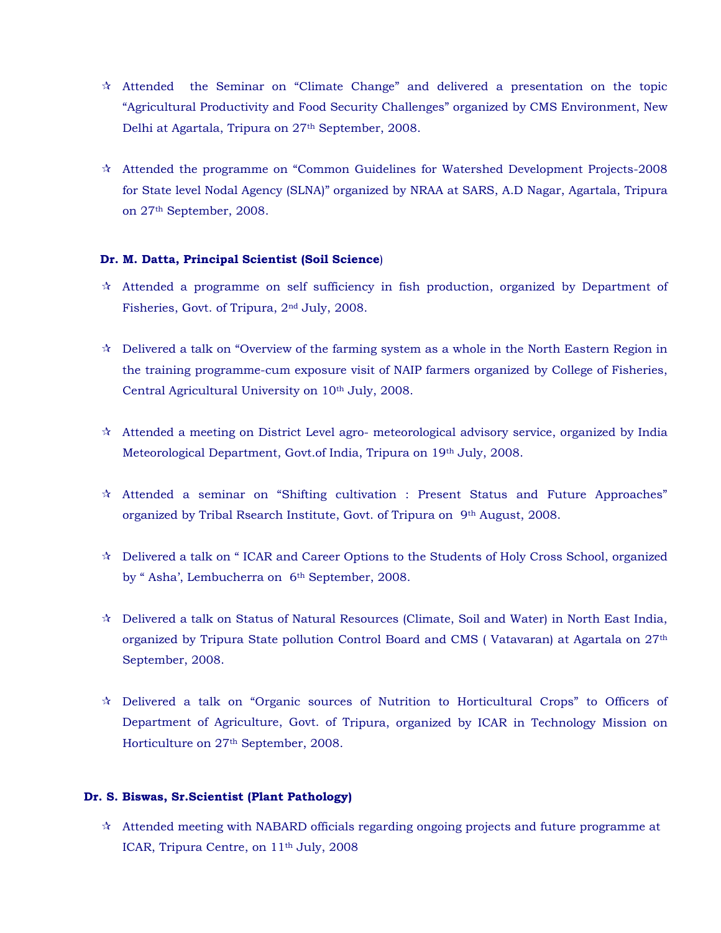- "Agricultural Productivity and Food Security Challenges" organized by CMS Environment, New Delhi at Agartala, Tripura on 27<sup>th</sup> September, 2008. Attended the Seminar on "Climate Change" and delivered a presentation on the topic
- for State level Nodal Agency (SLNA)" organized by NRAA at SARS, A.D Nagar, Agartala, Tripura on 27th September, 2008. Attended the programme on "Common Guidelines for Watershed Development Projects-2008

#### **Dr. M. Datta, Principal Scientist (Soil Science**)

- $\dot{\mathcal{R}}$  Attended a programme on self sufficiency in fish production, organized by Department of Fisheries, Govt. of Tripura, 2<sup>nd</sup> July, 2008.
- the training programme-cum exposure visit of NAIP farmers organized by College of Fisheries, Central Agricultural University on 10th July, 2008. Delivered a talk on "Overview of the farming system as a whole in the North Eastern Region in
- $\star$  Attended a meeting on District Level agro- meteorological advisory service, organized by India Meteorological Department, Govt.of India, Tripura on 19th July, 2008.
- $\star$  Attended a seminar on "Shifting cultivation : Present Status and Future Approaches" organized by Tribal Rsearch Institute, Govt. of Tripura on 9th August, 2008.
- $\star$  Delivered a talk on "ICAR and Career Options to the Students of Holy Cross School, organized by "Asha', Lembucherra on 6<sup>th</sup> September, 2008.
- organized by Tripura State pollution Control Board and CMS ( Vatavaran) at Agartala on  $27^\text{th}$ September, 2008. Delivered a talk on Status of Natural Resources (Climate, Soil and Water) in North East India,
- Department of Agriculture, Govt. of Tripura, organized by ICAR in Technology Mission on Horticulture on 27th September, 2008. Delivered a talk on "Organic sources of Nutrition to Horticultural Crops" to Officers of

#### **Dr. S. Biswas, Sr.Scientist (Plant Pathology)**

 $\star$  Attended meeting with NABARD officials regarding ongoing projects and future programme at ICAR, Tripura Centre, on 11th July, 2008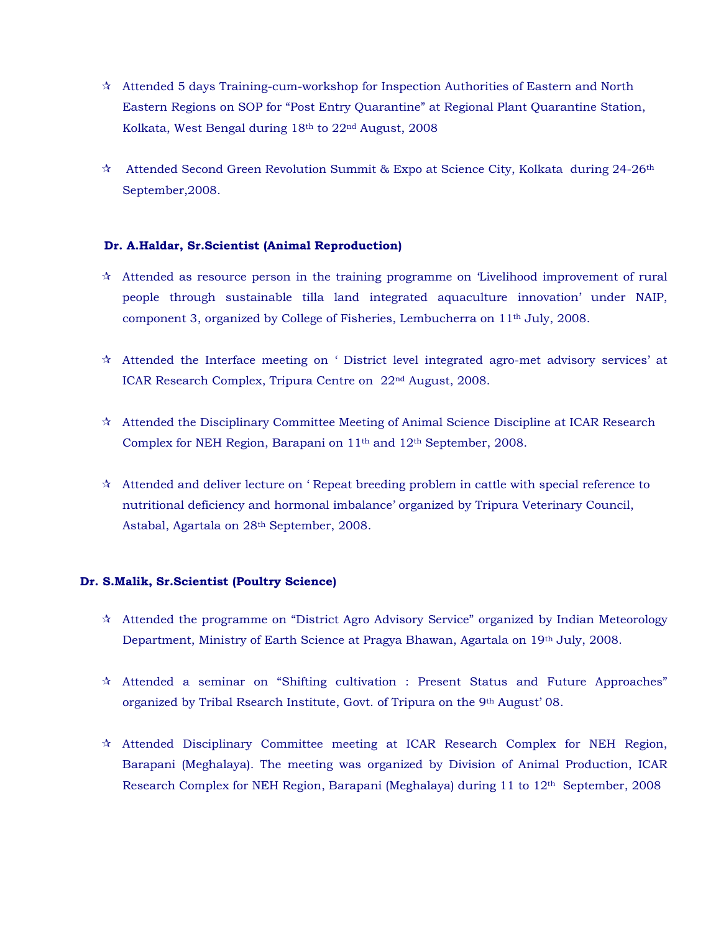- Eastern Regions on SOP for "Post Entry Quarantine" at Regional Plant Quarantine Station, Kolkata, West Bengal during 18th to 22nd August, 2008  $\star$  Attended 5 days Training-cum-workshop for Inspection Authorities of Eastern and North
- $\dot{\mathcal{R}}$  Attended Second Green Revolution Summit & Expo at Science City, Kolkata during 24-26<sup>th</sup> September,2008.

#### **Dr. A.Haldar, Sr.Scientist (Animal Reproduction)**

- people through sustainable tilla land integrated aquaculture innovation' under NAIP, component 3, organized by College of Fisheries, Lembucherra on  $11<sup>th</sup>$  July, 2008.  $\star$  Attended as resource person in the training programme on 'Livelihood improvement of rural
- $\star$  Attended the Interface meeting on ' District level integrated agro-met advisory services' at ICAR Research Complex, Tripura Centre on 22nd August, 2008.
- $\hat{\mathcal{R}}$  Attended the Disciplinary Committee Meeting of Animal Science Discipline at ICAR Research Complex for NEH Region, Barapani on 11<sup>th</sup> and 12<sup>th</sup> September, 2008.
- $\hat{\mathcal{A}}$  Attended and deliver lecture on 'Repeat breeding problem in cattle with special reference to nutritional deficiency and hormonal imbalance' organized by Tripura Veterinary Council, Astabal, Agartala on 28th September, 2008.

#### **r. S.Malik, Sr.Scientist (Poultry Science) D**

- $\star$  Attended the programme on "District Agro Advisory Service" organized by Indian Meteorology Department, Ministry of Earth Science at Pragya Bhawan, Agartala on 19th July, 2008.
- $\star$  Attended a seminar on "Shifting cultivation : Present Status and Future Approaches" organized by Tribal Rsearch Institute, Govt. of Tripura on the 9th August' 08.
- Research Complex for NEH Region, Barapani (Meghalaya) during 11 to 12th September, 2008 Attended Disciplinary Committee meeting at ICAR Research Complex for NEH Region, Barapani (Meghalaya). The meeting was organized by Division of Animal Production, ICAR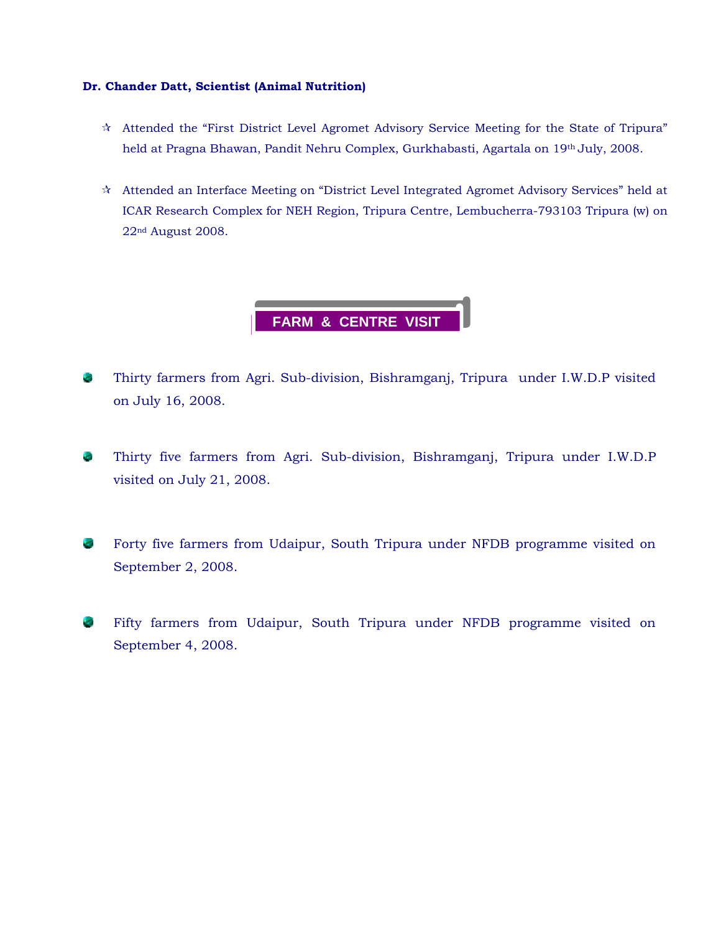#### **Dr. Chander Datt, Scientist (Animal Nutrition)**

- $\hat{\mathcal{R}}$  Attended the "First District Level Agromet Advisory Service Meeting for the State of Tripura" held at Pragna Bhawan, Pandit Nehru Complex, Gurkhabasti, Agartala on 19<sup>th</sup> July, 2008.
- ICAR Research Complex for NEH Region, Tripura Centre, Lembucherra-793103 Tripura (w) on 22nd August 2008. Attended an Interface Meeting on "District Level Integrated Agromet Advisory Services" held at



- Thirty farmers from Agri. Sub-division, Bishramganj, Tripura under I.W.D.P visited 5 on July 16, 2008.
- Thirty five farmers from Agri. Sub-division, Bishramganj, Tripura under I.W.D.P visited on July 21, 2008.
- Forty five farmers from Udaipur, South Tripura under NFDB programme visited on September 2, 2008.
- Fifty farmers from Udaipur, South Tripura under NFDB programme visited on **C** September 4, 2008.